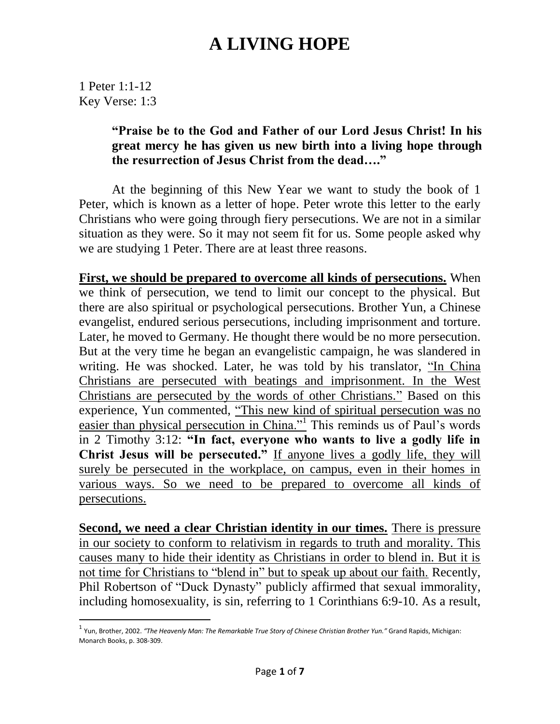1 Peter 1:1-12 Key Verse: 1:3

 $\overline{a}$ 

#### **"Praise be to the God and Father of our Lord Jesus Christ! In his great mercy he has given us new birth into a living hope through the resurrection of Jesus Christ from the dead…."**

At the beginning of this New Year we want to study the book of 1 Peter, which is known as a letter of hope. Peter wrote this letter to the early Christians who were going through fiery persecutions. We are not in a similar situation as they were. So it may not seem fit for us. Some people asked why we are studying 1 Peter. There are at least three reasons.

**First, we should be prepared to overcome all kinds of persecutions.** When we think of persecution, we tend to limit our concept to the physical. But there are also spiritual or psychological persecutions. Brother Yun, a Chinese evangelist, endured serious persecutions, including imprisonment and torture. Later, he moved to Germany. He thought there would be no more persecution. But at the very time he began an evangelistic campaign, he was slandered in writing. He was shocked. Later, he was told by his translator, "In China Christians are persecuted with beatings and imprisonment. In the West Christians are persecuted by the words of other Christians." Based on this experience, Yun commented, "This new kind of spiritual persecution was no easier than physical persecution in China."<sup>1</sup> This reminds us of Paul's words in 2 Timothy 3:12: **"In fact, everyone who wants to live a godly life in Christ Jesus will be persecuted."** If anyone lives a godly life, they will surely be persecuted in the workplace, on campus, even in their homes in various ways. So we need to be prepared to overcome all kinds of persecutions.

**Second, we need a clear Christian identity in our times.** There is pressure in our society to conform to relativism in regards to truth and morality. This causes many to hide their identity as Christians in order to blend in. But it is not time for Christians to "blend in" but to speak up about our faith. Recently, Phil Robertson of "Duck Dynasty" publicly affirmed that sexual immorality, including homosexuality, is sin, referring to 1 Corinthians 6:9-10. As a result,

<sup>1</sup> Yun, Brother, 2002. *"The Heavenly Man: The Remarkable True Story of Chinese Christian Brother Yun."* Grand Rapids, Michigan: Monarch Books, p. 308-309.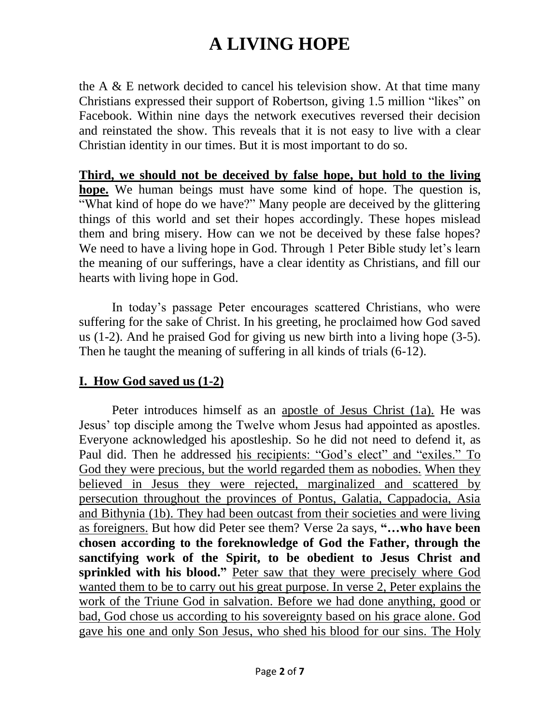the A  $\&$  E network decided to cancel his television show. At that time many Christians expressed their support of Robertson, giving 1.5 million "likes" on Facebook. Within nine days the network executives reversed their decision and reinstated the show. This reveals that it is not easy to live with a clear Christian identity in our times. But it is most important to do so.

**Third, we should not be deceived by false hope, but hold to the living hope.** We human beings must have some kind of hope. The question is, "What kind of hope do we have?" Many people are deceived by the glittering things of this world and set their hopes accordingly. These hopes mislead them and bring misery. How can we not be deceived by these false hopes? We need to have a living hope in God. Through 1 Peter Bible study let's learn the meaning of our sufferings, have a clear identity as Christians, and fill our hearts with living hope in God.

In today's passage Peter encourages scattered Christians, who were suffering for the sake of Christ. In his greeting, he proclaimed how God saved us (1-2). And he praised God for giving us new birth into a living hope (3-5). Then he taught the meaning of suffering in all kinds of trials (6-12).

#### **I. How God saved us (1-2)**

Peter introduces himself as an apostle of Jesus Christ (1a). He was Jesus' top disciple among the Twelve whom Jesus had appointed as apostles. Everyone acknowledged his apostleship. So he did not need to defend it, as Paul did. Then he addressed his recipients: "God's elect" and "exiles." To God they were precious, but the world regarded them as nobodies. When they believed in Jesus they were rejected, marginalized and scattered by persecution throughout the provinces of Pontus, Galatia, Cappadocia, Asia and Bithynia (1b). They had been outcast from their societies and were living as foreigners. But how did Peter see them? Verse 2a says, **"…who have been chosen according to the foreknowledge of God the Father, through the sanctifying work of the Spirit, to be obedient to Jesus Christ and sprinkled with his blood."** Peter saw that they were precisely where God wanted them to be to carry out his great purpose. In verse 2, Peter explains the work of the Triune God in salvation. Before we had done anything, good or bad, God chose us according to his sovereignty based on his grace alone. God gave his one and only Son Jesus, who shed his blood for our sins. The Holy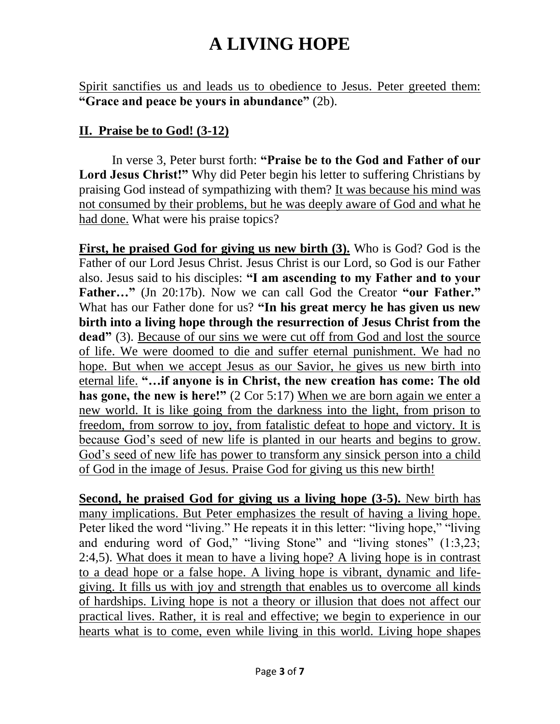Spirit sanctifies us and leads us to obedience to Jesus. Peter greeted them: **"Grace and peace be yours in abundance"** (2b).

#### **II. Praise be to God! (3-12)**

In verse 3, Peter burst forth: **"Praise be to the God and Father of our Lord Jesus Christ!"** Why did Peter begin his letter to suffering Christians by praising God instead of sympathizing with them? It was because his mind was not consumed by their problems, but he was deeply aware of God and what he had done. What were his praise topics?

**First, he praised God for giving us new birth (3).** Who is God? God is the Father of our Lord Jesus Christ. Jesus Christ is our Lord, so God is our Father also. Jesus said to his disciples: **"I am ascending to my Father and to your Father…"** (Jn 20:17b). Now we can call God the Creator **"our Father."** What has our Father done for us? **"In his great mercy he has given us new birth into a living hope through the resurrection of Jesus Christ from the**  dead" (3). Because of our sins we were cut off from God and lost the source of life. We were doomed to die and suffer eternal punishment. We had no hope. But when we accept Jesus as our Savior, he gives us new birth into eternal life. **"…if anyone is in Christ, the new creation has come: The old has gone, the new is here!"** (2 Cor 5:17) When we are born again we enter a new world. It is like going from the darkness into the light, from prison to freedom, from sorrow to joy, from fatalistic defeat to hope and victory. It is because God's seed of new life is planted in our hearts and begins to grow. God's seed of new life has power to transform any sinsick person into a child of God in the image of Jesus. Praise God for giving us this new birth!

**Second, he praised God for giving us a living hope (3-5).** New birth has many implications. But Peter emphasizes the result of having a living hope. Peter liked the word "living." He repeats it in this letter: "living hope," "living and enduring word of God," "living Stone" and "living stones" (1:3,23; 2:4,5). What does it mean to have a living hope? A living hope is in contrast to a dead hope or a false hope. A living hope is vibrant, dynamic and lifegiving. It fills us with joy and strength that enables us to overcome all kinds of hardships. Living hope is not a theory or illusion that does not affect our practical lives. Rather, it is real and effective; we begin to experience in our hearts what is to come, even while living in this world. Living hope shapes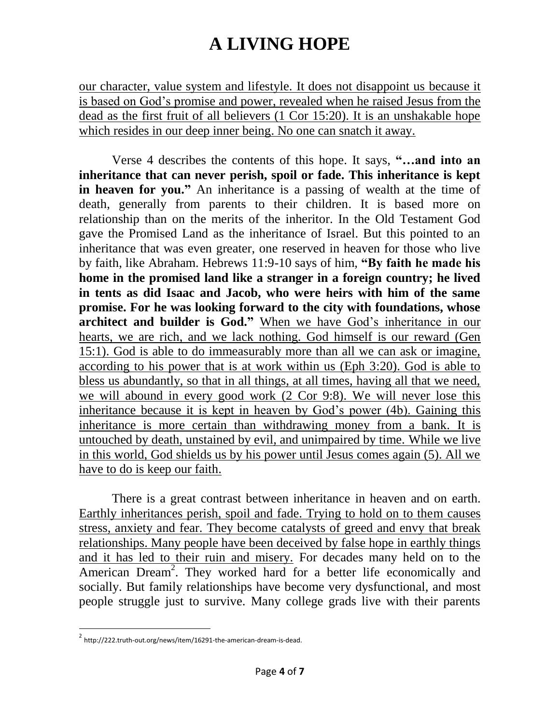our character, value system and lifestyle. It does not disappoint us because it is based on God's promise and power, revealed when he raised Jesus from the dead as the first fruit of all believers (1 Cor 15:20). It is an unshakable hope which resides in our deep inner being. No one can snatch it away.

Verse 4 describes the contents of this hope. It says, **"…and into an inheritance that can never perish, spoil or fade. This inheritance is kept in heaven for you."** An inheritance is a passing of wealth at the time of death, generally from parents to their children. It is based more on relationship than on the merits of the inheritor. In the Old Testament God gave the Promised Land as the inheritance of Israel. But this pointed to an inheritance that was even greater, one reserved in heaven for those who live by faith, like Abraham. Hebrews 11:9-10 says of him, **"By faith he made his home in the promised land like a stranger in a foreign country; he lived in tents as did Isaac and Jacob, who were heirs with him of the same promise. For he was looking forward to the city with foundations, whose architect and builder is God."** When we have God's inheritance in our hearts, we are rich, and we lack nothing. God himself is our reward (Gen 15:1). God is able to do immeasurably more than all we can ask or imagine, according to his power that is at work within us (Eph 3:20). God is able to bless us abundantly, so that in all things, at all times, having all that we need, we will abound in every good work (2 Cor 9:8). We will never lose this inheritance because it is kept in heaven by God's power (4b). Gaining this inheritance is more certain than withdrawing money from a bank. It is untouched by death, unstained by evil, and unimpaired by time. While we live in this world, God shields us by his power until Jesus comes again (5). All we have to do is keep our faith.

There is a great contrast between inheritance in heaven and on earth. Earthly inheritances perish, spoil and fade. Trying to hold on to them causes stress, anxiety and fear. They become catalysts of greed and envy that break relationships. Many people have been deceived by false hope in earthly things and it has led to their ruin and misery. For decades many held on to the American Dream<sup>2</sup>. They worked hard for a better life economically and socially. But family relationships have become very dysfunctional, and most people struggle just to survive. Many college grads live with their parents

 $\overline{a}$ 

<sup>&</sup>lt;sup>2</sup> http://222.truth-out.org/news/item/16291-the-american-dream-is-dead.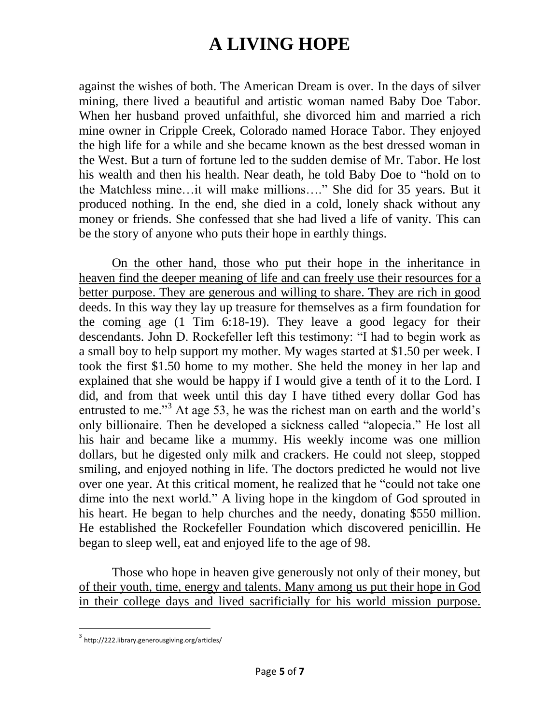against the wishes of both. The American Dream is over. In the days of silver mining, there lived a beautiful and artistic woman named Baby Doe Tabor. When her husband proved unfaithful, she divorced him and married a rich mine owner in Cripple Creek, Colorado named Horace Tabor. They enjoyed the high life for a while and she became known as the best dressed woman in the West. But a turn of fortune led to the sudden demise of Mr. Tabor. He lost his wealth and then his health. Near death, he told Baby Doe to "hold on to the Matchless mine…it will make millions…." She did for 35 years. But it produced nothing. In the end, she died in a cold, lonely shack without any money or friends. She confessed that she had lived a life of vanity. This can be the story of anyone who puts their hope in earthly things.

On the other hand, those who put their hope in the inheritance in heaven find the deeper meaning of life and can freely use their resources for a better purpose. They are generous and willing to share. They are rich in good deeds. In this way they lay up treasure for themselves as a firm foundation for the coming age (1 Tim 6:18-19). They leave a good legacy for their descendants. John D. Rockefeller left this testimony: "I had to begin work as a small boy to help support my mother. My wages started at \$1.50 per week. I took the first \$1.50 home to my mother. She held the money in her lap and explained that she would be happy if I would give a tenth of it to the Lord. I did, and from that week until this day I have tithed every dollar God has entrusted to me."<sup>3</sup> At age 53, he was the richest man on earth and the world's only billionaire. Then he developed a sickness called "alopecia." He lost all his hair and became like a mummy. His weekly income was one million dollars, but he digested only milk and crackers. He could not sleep, stopped smiling, and enjoyed nothing in life. The doctors predicted he would not live over one year. At this critical moment, he realized that he "could not take one dime into the next world." A living hope in the kingdom of God sprouted in his heart. He began to help churches and the needy, donating \$550 million. He established the Rockefeller Foundation which discovered penicillin. He began to sleep well, eat and enjoyed life to the age of 98.

Those who hope in heaven give generously not only of their money, but of their youth, time, energy and talents. Many among us put their hope in God in their college days and lived sacrificially for his world mission purpose.

 $\overline{a}$ 

<sup>3</sup> http://222.library.generousgiving.org/articles/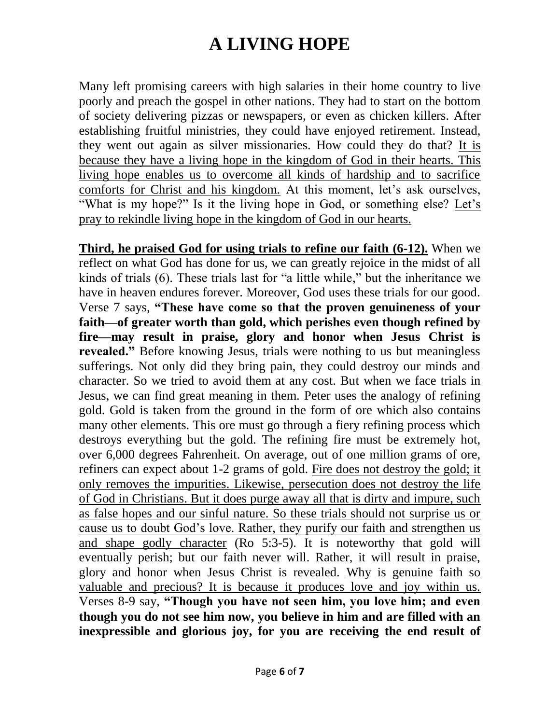Many left promising careers with high salaries in their home country to live poorly and preach the gospel in other nations. They had to start on the bottom of society delivering pizzas or newspapers, or even as chicken killers. After establishing fruitful ministries, they could have enjoyed retirement. Instead, they went out again as silver missionaries. How could they do that? It is because they have a living hope in the kingdom of God in their hearts. This living hope enables us to overcome all kinds of hardship and to sacrifice comforts for Christ and his kingdom. At this moment, let's ask ourselves, "What is my hope?" Is it the living hope in God, or something else? Let's pray to rekindle living hope in the kingdom of God in our hearts.

**Third, he praised God for using trials to refine our faith (6-12).** When we reflect on what God has done for us, we can greatly rejoice in the midst of all kinds of trials (6). These trials last for "a little while," but the inheritance we have in heaven endures forever. Moreover, God uses these trials for our good. Verse 7 says, **"These have come so that the proven genuineness of your faith—of greater worth than gold, which perishes even though refined by fire—may result in praise, glory and honor when Jesus Christ is revealed."** Before knowing Jesus, trials were nothing to us but meaningless sufferings. Not only did they bring pain, they could destroy our minds and character. So we tried to avoid them at any cost. But when we face trials in Jesus, we can find great meaning in them. Peter uses the analogy of refining gold. Gold is taken from the ground in the form of ore which also contains many other elements. This ore must go through a fiery refining process which destroys everything but the gold. The refining fire must be extremely hot, over 6,000 degrees Fahrenheit. On average, out of one million grams of ore, refiners can expect about 1-2 grams of gold. Fire does not destroy the gold; it only removes the impurities. Likewise, persecution does not destroy the life of God in Christians. But it does purge away all that is dirty and impure, such as false hopes and our sinful nature. So these trials should not surprise us or cause us to doubt God's love. Rather, they purify our faith and strengthen us and shape godly character (Ro 5:3-5). It is noteworthy that gold will eventually perish; but our faith never will. Rather, it will result in praise, glory and honor when Jesus Christ is revealed. Why is genuine faith so valuable and precious? It is because it produces love and joy within us. Verses 8-9 say, **"Though you have not seen him, you love him; and even though you do not see him now, you believe in him and are filled with an inexpressible and glorious joy, for you are receiving the end result of**